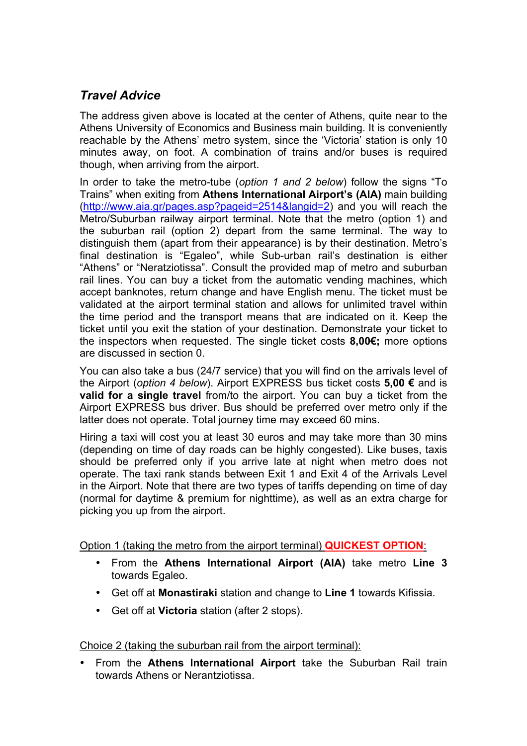# *Travel Advice*

The address given above is located at the center of Athens, quite near to the Athens University of Economics and Business main building. It is conveniently reachable by the Athens' metro system, since the 'Victoria' station is only 10 minutes away, on foot. A combination of trains and/or buses is required though, when arriving from the airport.

In order to take the metro-tube (*option 1 and 2 below*) follow the signs "To Trains" when exiting from **Athens International Airport's (AIA)** main building (http://www.aia.gr/pages.asp?pageid=2514&langid=2) and you will reach the Metro/Suburban railway airport terminal. Note that the metro (option 1) and the suburban rail (option 2) depart from the same terminal. The way to distinguish them (apart from their appearance) is by their destination. Metro's final destination is "Egaleo", while Sub-urban rail's destination is either "Athens" or "Neratziotissa". Consult the provided map of metro and suburban rail lines. You can buy a ticket from the automatic vending machines, which accept banknotes, return change and have English menu. The ticket must be validated at the airport terminal station and allows for unlimited travel within the time period and the transport means that are indicated on it. Keep the ticket until you exit the station of your destination. Demonstrate your ticket to the inspectors when requested. The single ticket costs **8,00€;** more options are discussed in section 0.

You can also take a bus (24/7 service) that you will find on the arrivals level of the Airport (*option 4 below*). Airport EXPRESS bus ticket costs **5,00 €** and is **valid for a single travel** from/to the airport. You can buy a ticket from the Airport EXPRESS bus driver. Bus should be preferred over metro only if the latter does not operate. Total journey time may exceed 60 mins.

Hiring a taxi will cost you at least 30 euros and may take more than 30 mins (depending on time of day roads can be highly congested). Like buses, taxis should be preferred only if you arrive late at night when metro does not operate. The taxi rank stands between Exit 1 and Exit 4 of the Arrivals Level in the Airport. Note that there are two types of tariffs depending on time of day (normal for daytime & premium for nighttime), as well as an extra charge for picking you up from the airport.

Option 1 (taking the metro from the airport terminal) **QUICKEST OPTION**:

- From the **Athens International Airport (AIA)** take metro **Line 3** towards Egaleo.
- Get off at **Monastiraki** station and change to **Line 1** towards Kifissia.
- Get off at **Victoria** station (after 2 stops).

Choice 2 (taking the suburban rail from the airport terminal):

• From the **Athens International Airport** take the Suburban Rail train towards Athens or Nerantziotissa.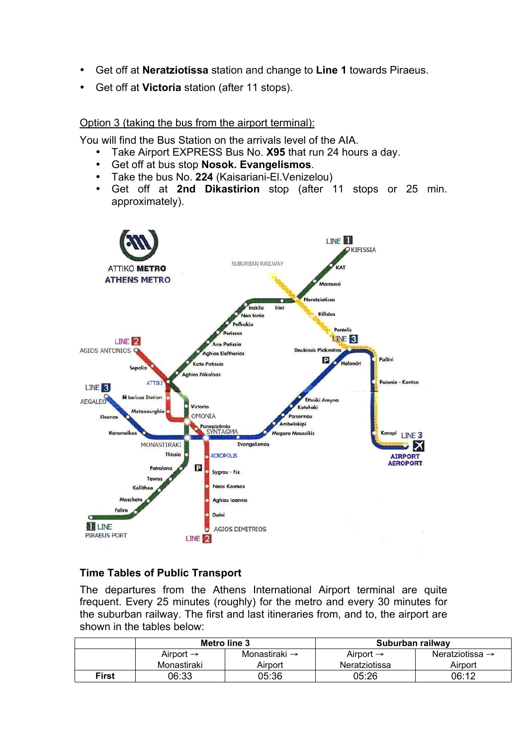- Get off at **Neratziotissa** station and change to **Line 1** towards Piraeus.
- Get off at **Victoria** station (after 11 stops).

### Option 3 (taking the bus from the airport terminal):

You will find the Bus Station on the arrivals level of the AIA.

- Take Airport EXPRESS Bus No. **X95** that run 24 hours a day.
- Get off at bus stop **Nosok. Evangelismos**.
- Take the bus No. 224 (Kaisariani-El.Venizelou)<br>• Get off at 2nd Dikastirion stop (after 1
- Get off at **2nd Dikastirion** stop (after 11 stops or 25 min. approximately).



# **Time Tables of Public Transport**

The departures from the Athens International Airport terminal are quite frequent. Every 25 minutes (roughly) for the metro and every 30 minutes for the suburban railway. The first and last itineraries from, and to, the airport are shown in the tables below:

|              | Metro line 3          |                           | Suburban railway      |                             |
|--------------|-----------------------|---------------------------|-----------------------|-----------------------------|
|              | Airport $\rightarrow$ | Monastiraki $\rightarrow$ | Airport $\rightarrow$ | Neratziotissa $\rightarrow$ |
|              | Monastiraki           | Airport                   | Neratziotissa         | Airport                     |
| <b>First</b> | 06:33                 | 05:36                     | 05:26                 | 06:12                       |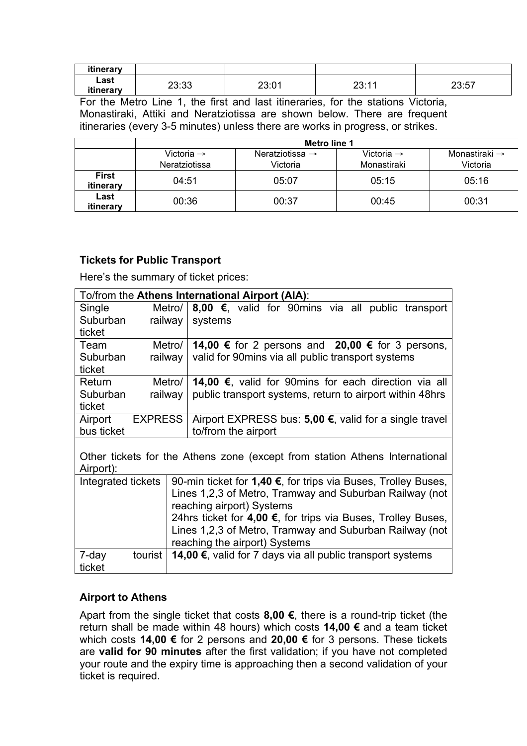| itinerary |       |        |        |       |
|-----------|-------|--------|--------|-------|
| Last      | פפיפר | つつ・ハイ  | 00.44  | 22.57 |
| itinerary | ∠∪.∪  | ∠∪.∪ ו | 20. LI | ، ن ب |

For the Metro Line 1, the first and last itineraries, for the stations Victoria, Monastiraki, Attiki and Neratziotissa are shown below. There are frequent itineraries (every 3-5 minutes) unless there are works in progress, or strikes.

|                           | <b>Metro line 1</b>                     |                                         |                                       |                                       |
|---------------------------|-----------------------------------------|-----------------------------------------|---------------------------------------|---------------------------------------|
|                           | Victoria $\rightarrow$<br>Neratziotissa | Neratziotissa $\rightarrow$<br>Victoria | Victoria $\rightarrow$<br>Monastiraki | Monastiraki $\rightarrow$<br>Victoria |
| <b>First</b><br>itinerary | 04:51                                   | 05:07                                   | 05:15                                 | 05:16                                 |
| Last<br>itinerary         | 00:36                                   | 00:37                                   | 00:45                                 | 00:31                                 |

## **Tickets for Public Transport**

Here's the summary of ticket prices:

| To/from the Athens International Airport (AIA):                             |                |                                                                    |  |
|-----------------------------------------------------------------------------|----------------|--------------------------------------------------------------------|--|
| Single                                                                      | Metro/         | 8,00 €, valid for 90mins via all public transport                  |  |
| Suburban                                                                    | railway        | systems                                                            |  |
| ticket                                                                      |                |                                                                    |  |
| Team                                                                        | Metro/         | 14,00 € for 2 persons and 20,00 € for 3 persons,                   |  |
| Suburban<br>ticket                                                          | railway        | valid for 90 mins via all public transport systems                 |  |
| Return                                                                      | Metro/         | <b>14,00 €, valid for 90mins for each direction via all</b>        |  |
| Suburban                                                                    | railway        | public transport systems, return to airport within 48hrs           |  |
| ticket                                                                      |                |                                                                    |  |
| Airport                                                                     | <b>EXPRESS</b> | Airport EXPRESS bus: 5,00 €, valid for a single travel             |  |
| bus ticket                                                                  |                | to/from the airport                                                |  |
|                                                                             |                |                                                                    |  |
| Other tickets for the Athens zone (except from station Athens International |                |                                                                    |  |
| Airport):                                                                   |                |                                                                    |  |
| Integrated tickets                                                          |                | 90-min ticket for 1,40 €, for trips via Buses, Trolley Buses,      |  |
|                                                                             |                | Lines 1,2,3 of Metro, Tramway and Suburban Railway (not            |  |
|                                                                             |                | reaching airport) Systems                                          |  |
|                                                                             |                | 24hrs ticket for 4,00 €, for trips via Buses, Trolley Buses,       |  |
|                                                                             |                | Lines 1,2,3 of Metro, Tramway and Suburban Railway (not            |  |
|                                                                             |                | reaching the airport) Systems                                      |  |
| 7-day<br>tourist                                                            |                | <b>14,00 €</b> , valid for 7 days via all public transport systems |  |
| ticket                                                                      |                |                                                                    |  |

# **Airport to Athens**

Apart from the single ticket that costs **8,00 €**, there is a round-trip ticket (the return shall be made within 48 hours) which costs **14,00 €** and a team ticket which costs **14,00 €** for 2 persons and **20,00 €** for 3 persons. These tickets are **valid for 90 minutes** after the first validation; if you have not completed your route and the expiry time is approaching then a second validation of your ticket is required.